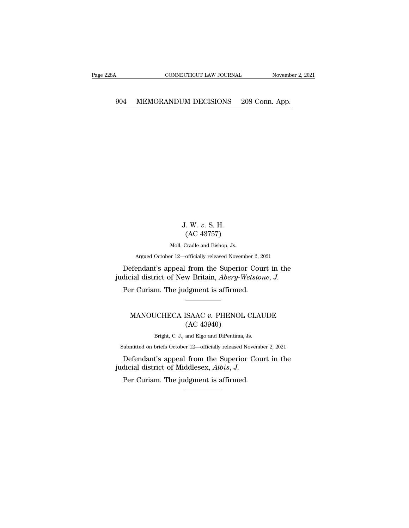# CONNECTICUT LAW JOURNAL Movember 2, 2

### J. W. *v*. S. H. . W. v. S. H.<br>(AC 43757)<br>Cradle and Bishop, Js. J. W. v. S. H.<br>(AC 43757)<br>Moll, Cradle and Bishop, Js.

Argued October 12—officially released November 2, 2021

J. W. v. S. H.<br>(AC 43757)<br>Moll, Cradle and Bishop, Js.<br>Argued October 12—officially released November 2, 2021<br>Defendant's appeal from the Superior Court in the<br>dicial district of New Britain, *Abery-Wetstone*, J. J. W. v. S. H.<br>(AC 43757)<br>Moll, Cradle and Bishop, Js.<br>Argued October 12—officially released November 2, 2021<br>Defendant's appeal from the Superior Court in the<br>judicial district of New Britain, *Abery-Wetstone*, *J.*<br>Per C Defendant's appeal from the Superior Court in the dicial district of New Britain, *Abery-Wetstone*, *J*.<br>Per Curiam. The judgment is affirmed. efendant's appeal from the Superior Court in the<br>
cial district of New Britain, *Abery-Wetstone*, *J.*<br>
Fr Curiam. The judgment is affirmed.<br>
MANOUCHECA ISAAC *v*. PHENOL CLAUDE<br>
(AC 43940)

judicial district of New Britain, *Abery-Wetstone*, *J.*<br>Per Curiam. The judgment is affirmed.<br>MANOUCHECA ISAAC *v*. PHENOL CLAUDE<br>(AC 43940)<br>Bright, C. J., and Elgo and DiPentima, Js. CHECA ISAAC v. PHENOL CLAU<br>(AC 43940)<br>Bright, C. J., and Elgo and DiPentima, Js.<br>briefs October 12—officially released Novembe MANOUCHECA ISAAC  $v$ . PHENOL CLAUDE<br>  $(AC 43940)$ <br>
Bright, C. J., and Elgo and DiPentima, Js.<br>
Submitted on briefs October 12—officially released November 2, 2021<br>
Defendant's anneal from the Superior Court in the

MANOUCHECA ISAAC  $v$ . PHENOL CLAUDE<br>
(AC 43940)<br>
Bright, C. J., and Elgo and DiPentima, Js.<br>
iubmitted on briefs October 12—officially released November 2, 2021<br>
Defendant's appeal from the Superior Court in the<br>
dicial d MANOUCHECA ISAAC *v*. PHENOL CL<br>(AC 43940)<br>Bright, C. J., and Elgo and DiPentima, Js.<br>Submitted on briefs October 12—officially released Nover<br>Defendant's appeal from the Superior Cc<br>judicial district of Middlesex, *Albis* Submitted on briefs October 12—officially released November 2, 2021<br>Defendant's appeal from the Superior Court in the<br>judicial district of Middlesex,  $Albis$ , J.<br>Per Curiam. The judgment is affirmed.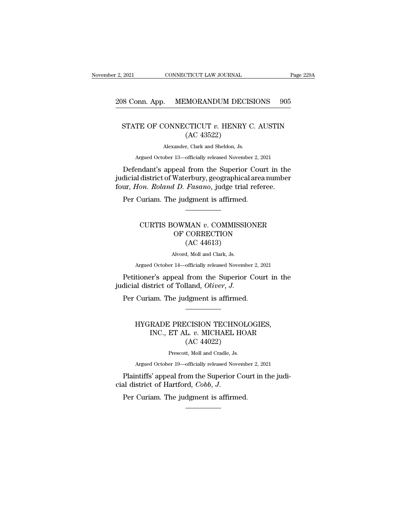# 2, 2021 CONNECTICUT LAW JOURNAL Page 229A<br>208 Conn. App. MEMORANDUM DECISIONS 905

#### 9021 CONNECTICUT LAW JOURNAL Page 229A<br>
18 Conn. App. MEMORANDUM DECISIONS 905<br>
STATE OF CONNECTICUT *v*. HENRY C. AUSTIN (AC 43522) MORANDUM DEC.<br>CTICUT v. HENRY<br>(AC 43522)<br>r, Clark and Sheldon, Js.  $\begin{array}{l} \text{CONNECTICUT} \text{ } v. \text{ HENRY C.} \ \text{(AC 43522)} \ \text{Alexander, Clark and Sheldon, Js.} \ \text{ober 13—officially released November :} \end{array}$ TE OF CONNECTICUT v. HENRY C. AUSTIN<br>
(AC 43522)<br>
Alexander, Clark and Sheldon, Js.<br>
Argued October 13—officially released November 2, 2021<br>
andant's anneal from the Superior Court in the

STATE OF CONNECTICUT  $v$ . HENRY C. AUSTIN<br>
(AC 43522)<br>
Alexander, Clark and Sheldon, Js.<br>
Argued October 13—officially released November 2, 2021<br>
Defendant's appeal from the Superior Court in the<br>
dicial district of Water STATE OF CONNECTICUT  $v$ . HENRY C. AUSTIN<br>
(AC 43522)<br>
Alexander, Clark and Sheldon, Js.<br>
Argued October 13—officially released November 2, 2021<br>
Defendant's appeal from the Superior Court in the<br>
judicial district of Wat (AC 43522)<br>
Alexander, Clark and Sheldon, Js.<br>
Argued October 13—officially released November 2, 2021<br>
Defendant's appeal from the Superior Court in the<br>
judicial district of Waterbury, geographical area number<br>
four, *Hon* Alexander, Clark and Sheldon, Js.<br>Argued October 13—officially released November 2, 2021<br>Defendant's appeal from the Superior Court in the<br>judicial district of Waterbury, geographical area number<br>four, *Hon. Roland D. Fasa* district of Waterbury, geographical area number<br>on. Roland D. Fasano, judge trial referee.<br>Curiam. The judgment is affirmed.<br>CURTIS BOWMAN *v*. COMMISSIONER<br>OF CORRECTION

#### *U. D. Fasano*, judge trial referee.<br> *U. D. Fasano*, judge trial referee.<br>
e judgment is affirmed.<br>
OWMAN *v.* COMMISSIONER<br>
OF CORRECTION (AC 44613) *Pasano,* Judge than<br>dgment is affirmed.<br>MAN v. COMMISSI<br>CORRECTION<br>(AC 44613)<br>d, Moll and Clark, Js. CURTIS BOWMAN  $v$ . COMMISSIONER<br>OF CORRECTION<br>(AC 44613)<br>Alvord, Moll and Clark, Js.<br>Argued October 14—officially released November 2, 2021 UCRIIS BOWMAN *v*. COMMISSIONER<br>
OF CORRECTION<br>
(AC 44613)<br>
Alvord, Moll and Clark, Js.<br>
Argued October 14—officially released November 2, 2021<br>
tioner's anneal from the Sunerior Court in the CURTIS BOWMAN v. COMMISSIONER<br>
OF CORRECTION<br>
(AC 44613)<br>
Alvord, Moll and Clark, Js.<br>
Argued October 14—officially released November 2, 2021<br>
Petitioner's appeal from the Superior Court in the<br>
dicial district of Tolland,

OF CORRECTION<br>(AC 44613)<br>Alvord, Moll and Clark, Js.<br>Argued October 14—officially released November<br>Petitioner's appeal from the Superior (<br>judicial district of Tolland, *Oliver*, *J*.<br>Per Curiam. The judgment is affirmed. (AC 44015)<br>
Alvord, Moll and Clark, Js.<br>
Argued October 14—officially released November 2, 20<br>
Petitioner's appeal from the Superior Coundicial district of Tolland, *Oliver*, J.<br>
Per Curiam. The judgment is affirmed.

#### tioner's appeal from the Superior Court in the Audistrict of Tolland, *Oliver*, *J*.<br>Curiam. The judgment is affirmed.<br>HYGRADE PRECISION TECHNOLOGIES, INC., ET AL.  $v$ . MICHAEL HOAR Et S appear from the Superior Court in the strict of Tolland, *Oliver*, *J.*<br>am. The judgment is affirmed.<br>RADE PRECISION TECHNOLOGIES,<br>INC., ET AL. *v.* MICHAEL HOAR (AC 44022) dgment is affirmed.<br>dgment is affirmed.<br>CCISION TECHNOL<br>L. v. MICHAEL HO<br>(AC 44022)<br>tt, Moll and Cradle, Js. PRECISION TECHNOLO<br>ET AL. *v*. MICHAEL HOA<br>(AC 44022)<br>Prescott, Moll and Cradle, Js.<br>er 19—officially released Novembe HYGKADE PRECISION TECHNOLOGIES,<br>
INC., ET AL. v. MICHAEL HOAR<br>
(AC 44022)<br>
Prescott, Moll and Cradle, Js.<br>
Argued October 19—officially released November 2, 2021<br>
ntiffs' anneal from the Sunerior Court in the judi-HYGRADE PRECISION TECHNOLOGIES,<br>
INC., ET AL.  $v$ . MICHAEL HOAR<br>
(AC 44022)<br>
Prescott, Moll and Cradle, Js.<br>
Argued October 19—officially released November 2, 2021<br>
Plaintiffs' appeal from the Superior Court in the judi-<br>

INC., ET AL. *v*. MICHAEL HO.<br>(AC 44022)<br>Prescott, Moll and Cradle, Js.<br>Argued October 19—officially released Novemb<br>Plaintiffs' appeal from the Superior Cot<br>cial district of Hartford, *Cobb*, *J*.<br>Per Curiam. The judgment